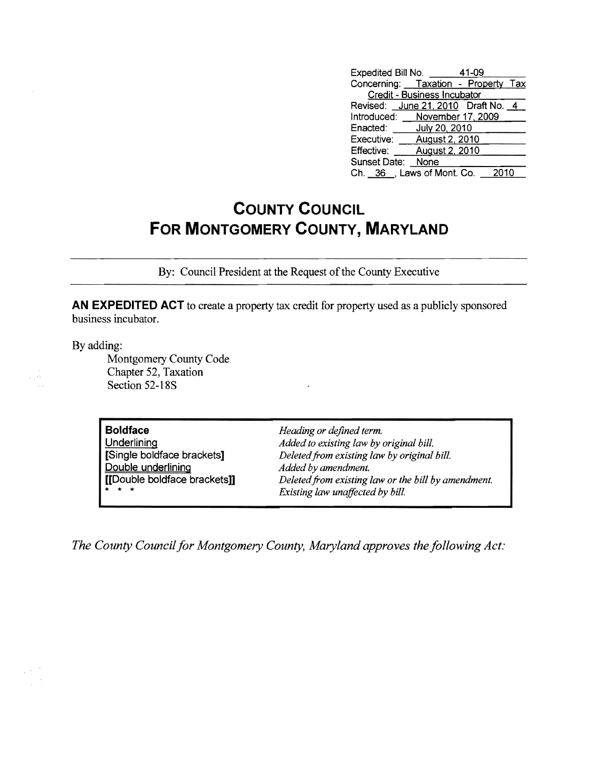| Expedited Bill No. 41-09            |                |      |  |  |
|-------------------------------------|----------------|------|--|--|
| Concerning: Taxation - Property Tax |                |      |  |  |
| Credit - Business Incubator         |                |      |  |  |
| Revised: June 21, 2010 Draft No. 4  |                |      |  |  |
| Introduced: November 17, 2009       |                |      |  |  |
| Enacted: July 20, 2010              |                |      |  |  |
| Executive:                          | August 2, 2010 |      |  |  |
| <b>Effective:</b>                   | August 2, 2010 |      |  |  |
| Sunset Date: None                   |                |      |  |  |
| Ch. 36 , Laws of Mont. Co.          |                | 2010 |  |  |

## **COUNTY COUNCIL FOR MONTGOMERY COUNTY, MARYLAND**

By: Council President at the Request of the County Executive

**AN EXPEDITED ACT** to create a property tax credit for property used as a publicly sponsored business incubator.

By adding:

e pro

Montgomery County Code Chapter 52, Taxation Section 52-18S

**Boldface** *Heading or defined term.*  Double underlining *Added by amendment.* 

Underlining *Added to existing law by original bill.*  [Single boldface brackets] *Deletedfrom existing law by original bill.*  [[Double boldface brackets]] *Deletedfrom existing law or the bill by amendment.*  Existing law unaffected by bill.

*The County Council for Montgomery County, Maryland approves the following Act:*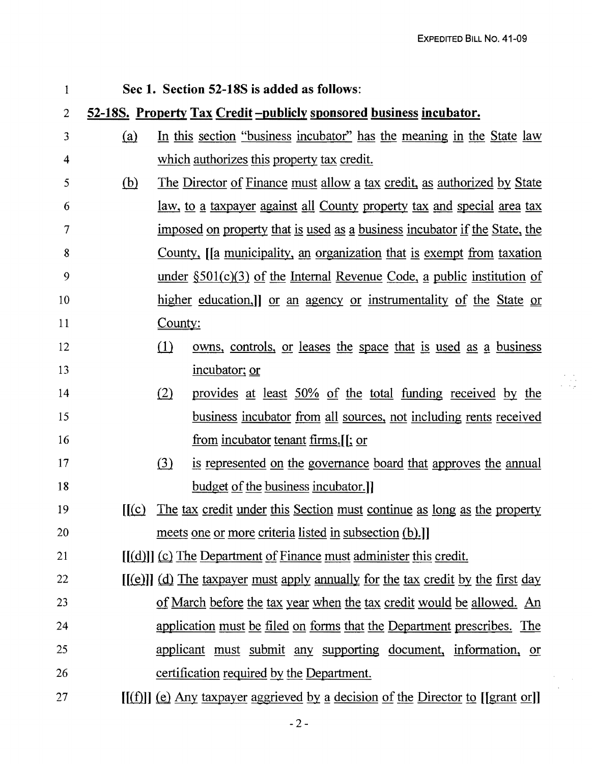| 1                                                                                    | Sec 1. Section 52-18S is added as follows:                             |                                                                                             |                                                                                  |  |
|--------------------------------------------------------------------------------------|------------------------------------------------------------------------|---------------------------------------------------------------------------------------------|----------------------------------------------------------------------------------|--|
| 52-18S. Property Tax Credit-publicly sponsored business incubator.<br>$\overline{2}$ |                                                                        |                                                                                             |                                                                                  |  |
| 3                                                                                    | <u>(a)</u>                                                             | In this section "business incubator" has the meaning in the State law                       |                                                                                  |  |
| $\overline{\mathbf{4}}$                                                              |                                                                        |                                                                                             | which authorizes this property tax credit.                                       |  |
| 5                                                                                    | <u>(b)</u>                                                             |                                                                                             | The Director of Finance must allow a tax credit, as authorized by State          |  |
| 6                                                                                    |                                                                        | <u>law, to a taxpayer against all County property tax and special area tax</u>              |                                                                                  |  |
| 7                                                                                    |                                                                        | <u>imposed on property that is used as a business incubator if the State, the</u>           |                                                                                  |  |
| 8                                                                                    |                                                                        | County, [a municipality, an organization that is exempt from taxation                       |                                                                                  |  |
| 9                                                                                    |                                                                        | <u>under <math>\S501(c)(3)</math> of the Internal Revenue Code, a public institution of</u> |                                                                                  |  |
| 10                                                                                   |                                                                        | <u>higher education.] or an agency or instrumentality of the State or</u>                   |                                                                                  |  |
| 11                                                                                   |                                                                        | <u>County:</u>                                                                              |                                                                                  |  |
| 12                                                                                   |                                                                        | (1)                                                                                         | <u>owns, controls, or leases the space that is used as a business</u>            |  |
| 13                                                                                   |                                                                        |                                                                                             | incubator; or                                                                    |  |
| 14                                                                                   |                                                                        | (2)                                                                                         | provides at least 50% of the total funding received by the                       |  |
| 15                                                                                   |                                                                        |                                                                                             | <u>business incubator from all sources, not including rents received</u>         |  |
| 16                                                                                   |                                                                        |                                                                                             | <u>from incubator tenant firms.</u> [[; or                                       |  |
| 17                                                                                   |                                                                        | $\Omega$                                                                                    | is represented on the governance board that approves the annual                  |  |
| 18                                                                                   |                                                                        |                                                                                             | <u>budget of the business incubator.</u>                                         |  |
| 19                                                                                   | [[(c)]                                                                 |                                                                                             | The tax credit under this Section must continue as long as the property          |  |
| 20                                                                                   |                                                                        |                                                                                             | meets one or more criteria listed in subsection (b).                             |  |
| 21                                                                                   | $[(d)]$ (c) The Department of Finance must administer this credit.     |                                                                                             |                                                                                  |  |
| 22                                                                                   |                                                                        |                                                                                             | $[(e)]$ (d) The taxpayer must apply annually for the tax credit by the first day |  |
| 23                                                                                   |                                                                        |                                                                                             | of March before the tax year when the tax credit would be allowed. An            |  |
| 24                                                                                   | application must be filed on forms that the Department prescribes. The |                                                                                             |                                                                                  |  |
| 25                                                                                   | applicant must submit any supporting document, information, or         |                                                                                             |                                                                                  |  |
| 26                                                                                   | certification required by the Department.                              |                                                                                             |                                                                                  |  |
| 27                                                                                   |                                                                        |                                                                                             | $[(f)]$ (e) Any taxpayer aggrieved by a decision of the Director to [[grant or]] |  |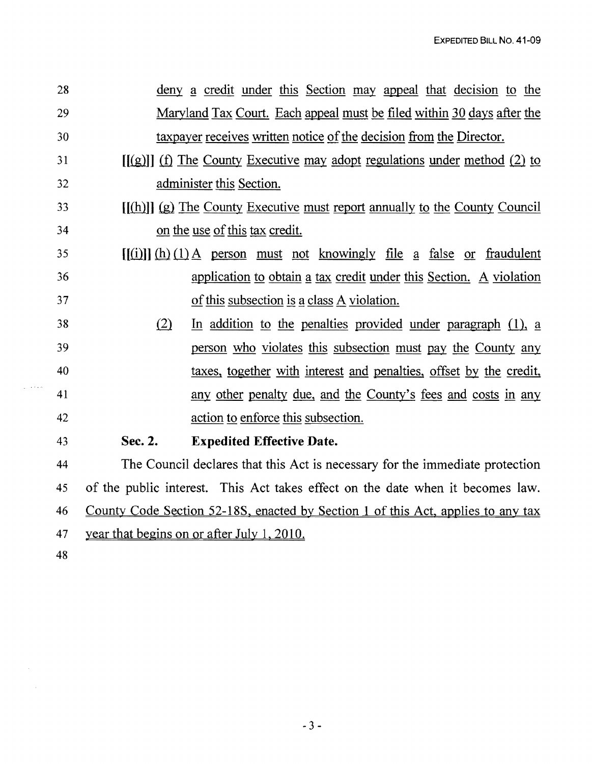| 28 | deny a credit under this Section may appeal that decision to the                 |  |  |
|----|----------------------------------------------------------------------------------|--|--|
| 29 | <u>Maryland Tax Court. Each appeal must be filed within 30 days after the</u>    |  |  |
| 30 | taxpayer receives written notice of the decision from the Director.              |  |  |
| 31 | $[(g)]$ (f) The County Executive may adopt regulations under method (2) to       |  |  |
| 32 | administer this Section.                                                         |  |  |
| 33 | $[(h)]$ (g) The County Executive must report annually to the County Council      |  |  |
| 34 | on the use of this tax credit.                                                   |  |  |
| 35 | $[(i)]$ (h) (1) A person must not knowingly file a false or fraudulent           |  |  |
| 36 | application to obtain a tax credit under this Section. A violation               |  |  |
| 37 | of this subsection is a class A violation.                                       |  |  |
| 38 | (2)<br>In addition to the penalties provided under paragraph $(1)$ , a           |  |  |
| 39 | person who violates this subsection must pay the County any                      |  |  |
| 40 | taxes, together with interest and penalties, offset by the credit,               |  |  |
| 41 | any other penalty due, and the County's fees and costs in any                    |  |  |
| 42 | action to enforce this subsection.                                               |  |  |
| 43 | <b>Expedited Effective Date.</b><br>Sec. 2.                                      |  |  |
| 44 | The Council declares that this Act is necessary for the immediate protection     |  |  |
| 45 | of the public interest. This Act takes effect on the date when it becomes law.   |  |  |
| 46 | County Code Section 52-18S, enacted by Section 1 of this Act, applies to any tax |  |  |
| 47 | year that begins on or after July 1, 2010.                                       |  |  |
| 48 |                                                                                  |  |  |

 $\gamma_2$  , we can

 $\mathcal{L}_{\mathrm{eff}}$ 

 $\label{eq:2.1} \frac{1}{\sqrt{2}}\int_{\mathbb{R}^3} \frac{1}{\sqrt{2}}\left(\frac{1}{\sqrt{2}}\right)^2\left(\frac{1}{\sqrt{2}}\right)^2\left(\frac{1}{\sqrt{2}}\right)^2\left(\frac{1}{\sqrt{2}}\right)^2.$